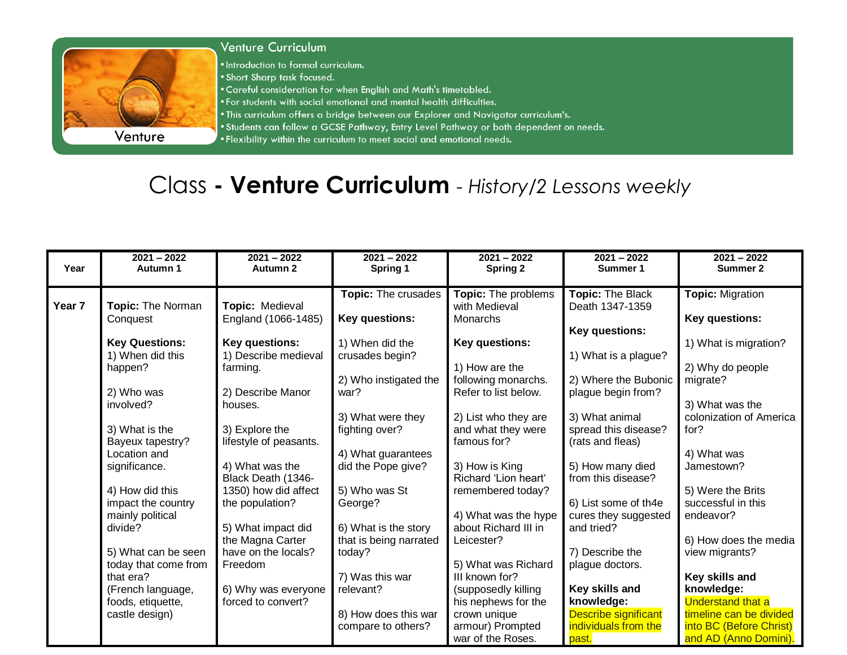

## **Venture Curriculum**

. Introduction to formal curriculum.

- . Short Sharp task focused.
- . Careful consideration for when English and Math's timetabled.
- . For students with social emotional and mental health difficulties.
- . This curriculum offers a bridge between our Explorer and Navigator curriculum's.
- . Students can follow a GCSE Pathway, Entry Level Pathway or both dependent on needs.
- . Flexibility within the curriculum to meet social and emotional needs.

## Class - Venture Curriculum - History/2 Lessons weekly

| Year              | $2021 - 2022$<br>Autumn 1              | $2021 - 2022$<br>Autumn 2                | $2021 - 2022$<br>Spring 1    | $2021 - 2022$<br><b>Spring 2</b>      | $2021 - 2022$<br>Summer 1                | $2021 - 2022$<br>Summer 2    |
|-------------------|----------------------------------------|------------------------------------------|------------------------------|---------------------------------------|------------------------------------------|------------------------------|
|                   |                                        |                                          | Topic: The crusades          | Topic: The problems                   | Topic: The Black                         | <b>Topic: Migration</b>      |
| Year <sub>7</sub> | <b>Topic: The Norman</b>               | Topic: Medieval                          |                              | with Medieval                         | Death 1347-1359                          |                              |
|                   | Conquest                               | England (1066-1485)                      | Key questions:               | Monarchs                              |                                          | Key questions:               |
|                   |                                        |                                          |                              |                                       | Key questions:                           |                              |
|                   | <b>Key Questions:</b>                  | Key questions:                           | 1) When did the              | Key questions:                        |                                          | 1) What is migration?        |
|                   | 1) When did this                       | 1) Describe medieval                     | crusades begin?              |                                       | 1) What is a plague?                     |                              |
|                   | happen?                                | farming.                                 |                              | 1) How are the                        |                                          | 2) Why do people             |
|                   |                                        |                                          | 2) Who instigated the        | following monarchs.                   | 2) Where the Bubonic                     | migrate?                     |
|                   | 2) Who was                             | 2) Describe Manor                        | war?                         | Refer to list below.                  | plague begin from?                       |                              |
|                   | involved?                              | houses.                                  |                              |                                       |                                          | 3) What was the              |
|                   |                                        |                                          | 3) What were they            | 2) List who they are                  | 3) What animal                           | colonization of America      |
|                   | 3) What is the<br>Bayeux tapestry?     | 3) Explore the<br>lifestyle of peasants. | fighting over?               | and what they were<br>famous for?     | spread this disease?<br>(rats and fleas) | for?                         |
|                   | Location and                           |                                          | 4) What guarantees           |                                       |                                          | 4) What was                  |
|                   | significance.                          | 4) What was the                          | did the Pope give?           | 3) How is King                        | 5) How many died                         | Jamestown?                   |
|                   |                                        | Black Death (1346-                       |                              | Richard 'Lion heart'                  | from this disease?                       |                              |
|                   | 4) How did this                        | 1350) how did affect                     | 5) Who was St                | remembered today?                     |                                          | 5) Were the Brits            |
|                   | impact the country                     | the population?                          | George?                      |                                       | 6) List some of th4e                     | successful in this           |
|                   | mainly political                       |                                          |                              | 4) What was the hype                  | cures they suggested                     | endeavor?                    |
|                   | divide?                                | 5) What impact did                       | 6) What is the story         | about Richard III in                  | and tried?                               |                              |
|                   |                                        | the Magna Carter                         | that is being narrated       | Leicester?                            |                                          | 6) How does the media        |
|                   | 5) What can be seen                    | have on the locals?                      | today?                       |                                       | 7) Describe the                          | view migrants?               |
|                   | today that come from                   | Freedom                                  |                              | 5) What was Richard                   | plague doctors.                          |                              |
|                   | that era?                              | 6) Why was everyone                      | 7) Was this war<br>relevant? | III known for?<br>(supposedly killing | Key skills and                           | Key skills and<br>knowledge: |
|                   | (French language,<br>foods, etiquette, | forced to convert?                       |                              | his nephews for the                   | knowledge:                               | <b>Understand that a</b>     |
|                   | castle design)                         |                                          | 8) How does this war         | crown unique                          | <b>Describe significant</b>              | timeline can be divided      |
|                   |                                        |                                          | compare to others?           | armour) Prompted                      | individuals from the                     | into BC (Before Christ)      |
|                   |                                        |                                          |                              | war of the Roses.                     | past.                                    | and AD (Anno Domini).        |